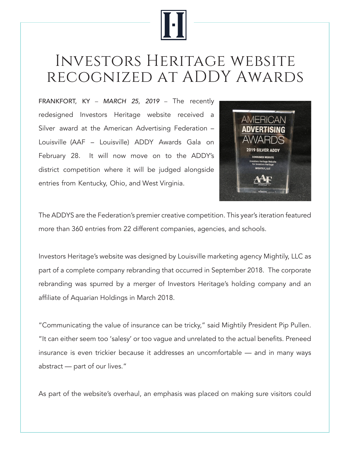

## Investors Heritage website recognized at ADDY Awards

FRANKFORT, KY – *MARCH* 25, *2019* – The recently redesigned Investors Heritage website received a Silver award at the American Advertising Federation – Louisville (AAF – Louisville) ADDY Awards Gala on February 28. It will now move on to the ADDY's district competition where it will be judged alongside entries from Kentucky, Ohio, and West Virginia.



The ADDYS are the Federation's premier creative competition. This year's iteration featured more than 360 entries from 22 different companies, agencies, and schools.

Investors Heritage's website was designed by Louisville marketing agency Mightily, LLC as part of a complete company rebranding that occurred in September 2018. The corporate rebranding was spurred by a merger of Investors Heritage's holding company and an affiliate of Aquarian Holdings in March 2018.

"Communicating the value of insurance can be tricky," said Mightily President Pip Pullen. "It can either seem too 'salesy' or too vague and unrelated to the actual benefits. Preneed insurance is even trickier because it addresses an uncomfortable — and in many ways abstract — part of our lives."

As part of the website's overhaul, an emphasis was placed on making sure visitors could